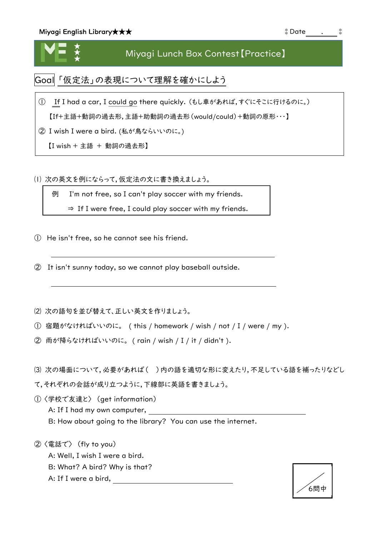★ ★ ★

## Miyagi Lunch Box Contest【Practice】

Goal 「仮定法」の表現について理解を確かにしよう

① If I had a car, I could go there quickly. (もし車があれば,すぐにそこに行けるのに。) 【If+主語+動詞の過去形,主語+助動詞の過去形(would/could)+動詞の原形・・・】

② I wish I were a bird. (私が鳥ならいいのに。)

【I wish + 主語 + 動詞の過去形】

⑴ 次の英文を例にならって,仮定法の文に書き換えましょう。

例 I'm not free, so I can't play soccer with my friends.

⇒ If I were free, I could play soccer with my friends.

If he were free, he could see his friend.

① He isn't free, so he cannot see his friend.

② It isn't sunny today, so we cannot play baseball outside.

⑵ 次の語句を並び替えて、正しい英文を作りましょう。

① 宿題がなければいいのに。 ( this / homework / wish / not / I / were / my ).

② 雨が降らなければいいのに。 ( rain / wish / I / it / didn't ).

⑶ 次の場面について,必要があれば( )内の語を適切な形に変えたり,不足している語を補ったりなどし

て,それぞれの会話が成り立つように,下線部に英語を書きましょう。

① 〈学校で友達と〉 (get information) A: If I had my own computer, B: How about going to the library? You can use the internet.

② 〈電話で〉 (fly to you) A: Well, I wish I were a bird. B: What? A bird? Why is that? A: If I were a bird,